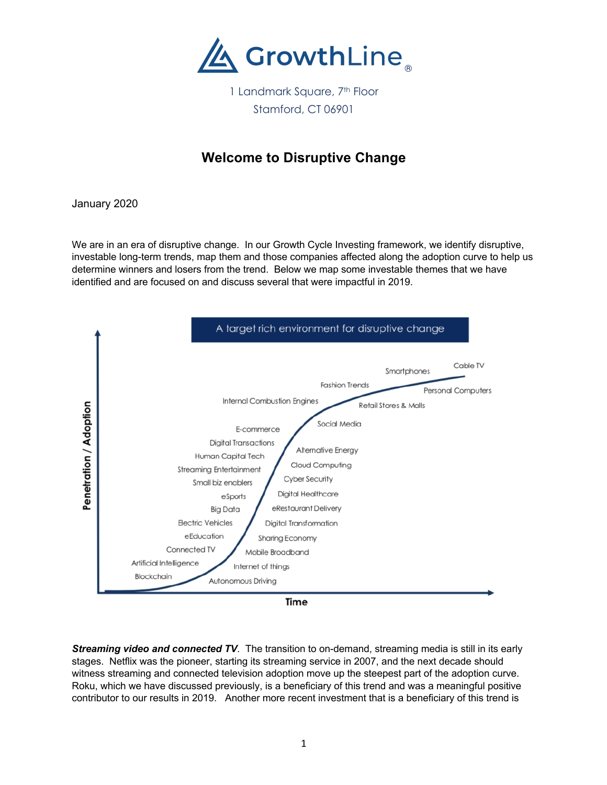

1 Landmark Square, 7<sup>th</sup> Floor Stamford, CT 06901

## **Welcome to Disruptive Change**

January 2020

We are in an era of disruptive change. In our Growth Cycle Investing framework, we identify disruptive, investable long-term trends, map them and those companies affected along the adoption curve to help us determine winners and losers from the trend. Below we map some investable themes that we have identified and are focused on and discuss several that were impactful in 2019.



*Streaming video and connected TV*. The transition to on-demand, streaming media is still in its early stages. Netflix was the pioneer, starting its streaming service in 2007, and the next decade should witness streaming and connected television adoption move up the steepest part of the adoption curve. Roku, which we have discussed previously, is a beneficiary of this trend and was a meaningful positive contributor to our results in 2019. Another more recent investment that is a beneficiary of this trend is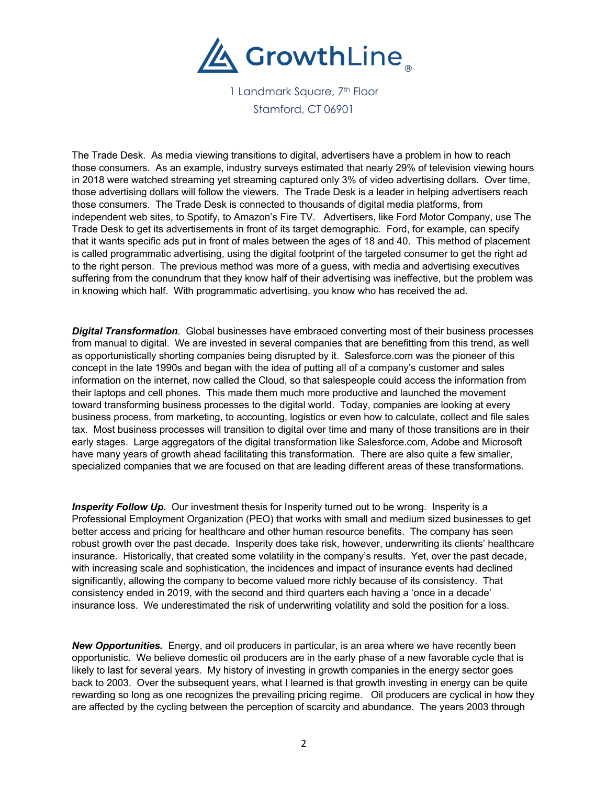

1 Landmark Square, 7<sup>th</sup> Floor Stamford, CT 06901

The Trade Desk. As media viewing transitions to digital, advertisers have a problem in how to reach those consumers. As an example, industry surveys estimated that nearly 29% of television viewing hours in 2018 were watched streaming yet streaming captured only 3% of video advertising dollars. Over time, those advertising dollars will follow the viewers. The Trade Desk is a leader in helping advertisers reach those consumers. The Trade Desk is connected to thousands of digital media platforms, from independent web sites, to Spotify, to Amazon's Fire TV. Advertisers, like Ford Motor Company, use The Trade Desk to get its advertisements in front of its target demographic. Ford, for example, can specify that it wants specific ads put in front of males between the ages of 18 and 40. This method of placement is called programmatic advertising, using the digital footprint of the targeted consumer to get the right ad to the right person. The previous method was more of a guess, with media and advertising executives suffering from the conundrum that they know half of their advertising was ineffective, but the problem was in knowing which half. With programmatic advertising, you know who has received the ad.

*Digital Transformation.* Global businesses have embraced converting most of their business processes from manual to digital. We are invested in several companies that are benefitting from this trend, as well as opportunistically shorting companies being disrupted by it. Salesforce.com was the pioneer of this concept in the late 1990s and began with the idea of putting all of a company's customer and sales information on the internet, now called the Cloud, so that salespeople could access the information from their laptops and cell phones. This made them much more productive and launched the movement toward transforming business processes to the digital world. Today, companies are looking at every business process, from marketing, to accounting, logistics or even how to calculate, collect and file sales tax. Most business processes will transition to digital over time and many of those transitions are in their early stages. Large aggregators of the digital transformation like Salesforce.com, Adobe and Microsoft have many years of growth ahead facilitating this transformation. There are also quite a few smaller, specialized companies that we are focused on that are leading different areas of these transformations.

**Insperity Follow Up.** Our investment thesis for Insperity turned out to be wrong. Insperity is a Professional Employment Organization (PEO) that works with small and medium sized businesses to get better access and pricing for healthcare and other human resource benefits. The company has seen robust growth over the past decade. Insperity does take risk, however, underwriting its clients' healthcare insurance. Historically, that created some volatility in the company's results. Yet, over the past decade, with increasing scale and sophistication, the incidences and impact of insurance events had declined significantly, allowing the company to become valued more richly because of its consistency. That consistency ended in 2019, with the second and third quarters each having a 'once in a decade' insurance loss. We underestimated the risk of underwriting volatility and sold the position for a loss.

*New Opportunities.* Energy, and oil producers in particular, is an area where we have recently been opportunistic. We believe domestic oil producers are in the early phase of a new favorable cycle that is likely to last for several years. My history of investing in growth companies in the energy sector goes back to 2003. Over the subsequent years, what I learned is that growth investing in energy can be quite rewarding so long as one recognizes the prevailing pricing regime. Oil producers are cyclical in how they are affected by the cycling between the perception of scarcity and abundance. The years 2003 through